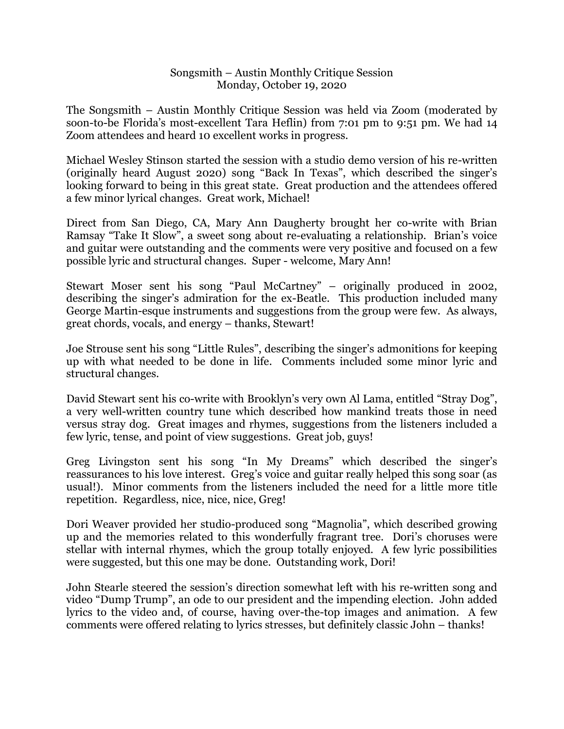## Songsmith – Austin Monthly Critique Session Monday, October 19, 2020

The Songsmith – Austin Monthly Critique Session was held via Zoom (moderated by soon-to-be Florida's most-excellent Tara Heflin) from 7:01 pm to 9:51 pm. We had 14 Zoom attendees and heard 10 excellent works in progress.

Michael Wesley Stinson started the session with a studio demo version of his re-written (originally heard August 2020) song "Back In Texas", which described the singer's looking forward to being in this great state. Great production and the attendees offered a few minor lyrical changes. Great work, Michael!

Direct from San Diego, CA, Mary Ann Daugherty brought her co-write with Brian Ramsay "Take It Slow", a sweet song about re-evaluating a relationship. Brian's voice and guitar were outstanding and the comments were very positive and focused on a few possible lyric and structural changes. Super - welcome, Mary Ann!

Stewart Moser sent his song "Paul McCartney" – originally produced in 2002, describing the singer's admiration for the ex-Beatle. This production included many George Martin-esque instruments and suggestions from the group were few. As always, great chords, vocals, and energy – thanks, Stewart!

Joe Strouse sent his song "Little Rules", describing the singer's admonitions for keeping up with what needed to be done in life. Comments included some minor lyric and structural changes.

David Stewart sent his co-write with Brooklyn's very own Al Lama, entitled "Stray Dog", a very well-written country tune which described how mankind treats those in need versus stray dog. Great images and rhymes, suggestions from the listeners included a few lyric, tense, and point of view suggestions. Great job, guys!

Greg Livingston sent his song "In My Dreams" which described the singer's reassurances to his love interest. Greg's voice and guitar really helped this song soar (as usual!). Minor comments from the listeners included the need for a little more title repetition. Regardless, nice, nice, nice, Greg!

Dori Weaver provided her studio-produced song "Magnolia", which described growing up and the memories related to this wonderfully fragrant tree. Dori's choruses were stellar with internal rhymes, which the group totally enjoyed. A few lyric possibilities were suggested, but this one may be done. Outstanding work, Dori!

John Stearle steered the session's direction somewhat left with his re-written song and video "Dump Trump", an ode to our president and the impending election. John added lyrics to the video and, of course, having over-the-top images and animation. A few comments were offered relating to lyrics stresses, but definitely classic John – thanks!